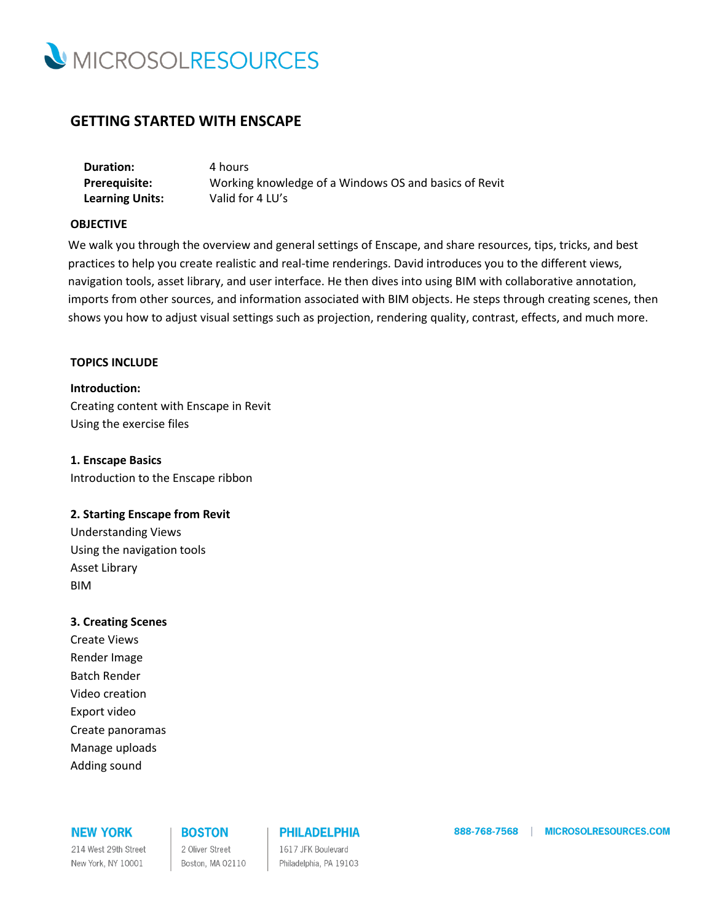

# **GETTING STARTED WITH ENSCAPE**

| <b>Duration:</b>       | 4 hours                                               |
|------------------------|-------------------------------------------------------|
| <b>Prerequisite:</b>   | Working knowledge of a Windows OS and basics of Revit |
| <b>Learning Units:</b> | Valid for 4 LU's                                      |

### **OBJECTIVE**

We walk you through the overview and general settings of Enscape, and share resources, tips, tricks, and best practices to help you create realistic and real-time renderings. David introduces you to the different views, navigation tools, asset library, and user interface. He then dives into using BIM with collaborative annotation, imports from other sources, and information associated with BIM objects. He steps through creating scenes, then shows you how to adjust visual settings such as projection, rendering quality, contrast, effects, and much more.

#### **TOPICS INCLUDE**

**Introduction:** Creating content with Enscape in Revit Using the exercise files

**1. Enscape Basics** Introduction to the Enscape ribbon

#### **2. Starting Enscape from Revit**

Understanding Views Using the navigation tools Asset Library BIM

#### **3. Creating Scenes**

Create Views Render Image Batch Render Video creation Export video Create panoramas Manage uploads Adding sound

### **NEW YORK**

214 West 29th Street New York, NY 10001

## **BOSTON**

2 Oliver Street Boston, MA 02110

## **PHILADELPHIA**

1617 JFK Boulevard Philadelphia, PA 19103 888-768-7568 | MICROSOLRESOURCES.COM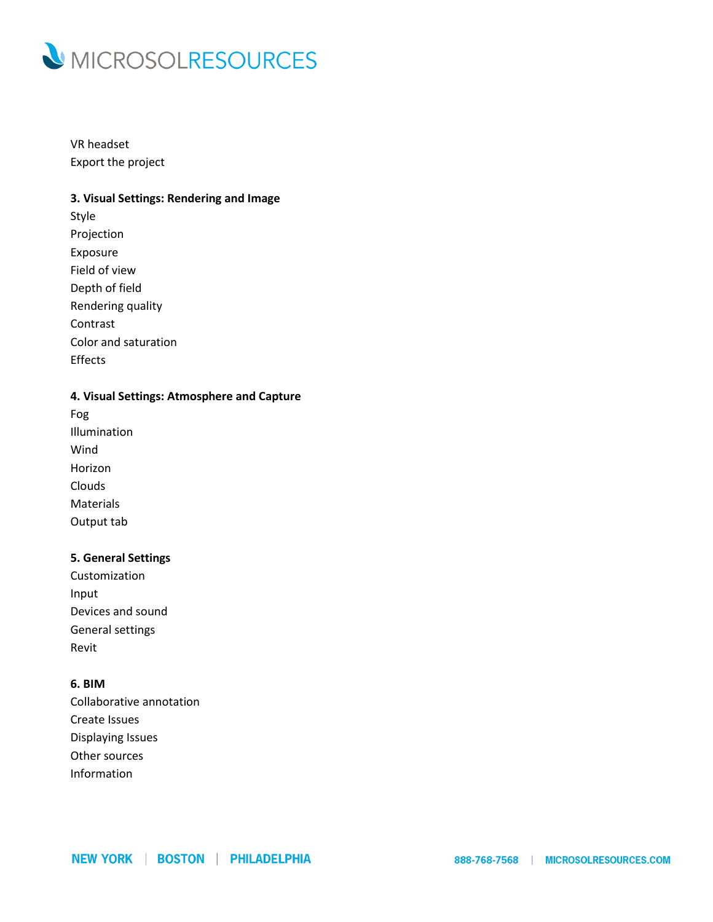

VR headset Export the project

### **3. Visual Settings: Rendering and Image**

Style Projection Exposure Field of view Depth of field Rendering quality Contrast Color and saturation Effects

## **4. Visual Settings: Atmosphere and Capture**

Fog Illumination Wind Horizon Clouds Materials Output tab

## **5. General Settings**

Customization Input Devices and sound General settings Revit

## **6. BIM**

Collaborative annotation Create Issues Displaying Issues Other sources Information